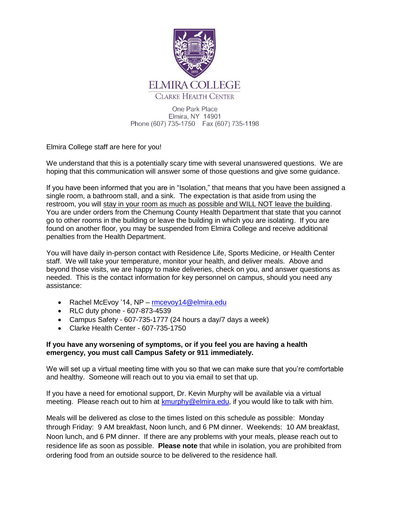

One Park Place Elmira, NY 14901 Phone (607) 735-1750 Fax (607) 735-1198

Elmira College staff are here for you!

We understand that this is a potentially scary time with several unanswered questions. We are hoping that this communication will answer some of those questions and give some guidance.

If you have been informed that you are in "Isolation," that means that you have been assigned a single room, a bathroom stall, and a sink. The expectation is that aside from using the restroom, you will stay in your room as much as possible and WILL NOT leave the building. You are under orders from the Chemung County Health Department that state that you cannot go to other rooms in the building or leave the building in which you are isolating. If you are found on another floor, you may be suspended from Elmira College and receive additional penalties from the Health Department.

You will have daily in-person contact with Residence Life, Sports Medicine, or Health Center staff. We will take your temperature, monitor your health, and deliver meals. Above and beyond those visits, we are happy to make deliveries, check on you, and answer questions as needed. This is the contact information for key personnel on campus, should you need any assistance:

- Rachel McEvoy '14, NP [rmcevoy14@elmira.edu](mailto:rmcevoy14@elmira.edu)
- RLC duty phone 607-873-4539
- Campus Safety 607-735-1777 (24 hours a day/7 days a week)
- Clarke Health Center 607-735-1750

## **If you have any worsening of symptoms, or if you feel you are having a health emergency, you must call Campus Safety or 911 immediately.**

We will set up a virtual meeting time with you so that we can make sure that you're comfortable and healthy. Someone will reach out to you via email to set that up.

If you have a need for emotional support, Dr. Kevin Murphy will be available via a virtual meeting. Please reach out to him at [kmurphy@elmira.edu,](mailto:kmurphy@elmira.edu) if you would like to talk with him.

Meals will be delivered as close to the times listed on this schedule as possible: Monday through Friday: 9 AM breakfast, Noon lunch, and 6 PM dinner. Weekends: 10 AM breakfast, Noon lunch, and 6 PM dinner. If there are any problems with your meals, please reach out to residence life as soon as possible. **Please note** that while in isolation, you are prohibited from ordering food from an outside source to be delivered to the residence hall.